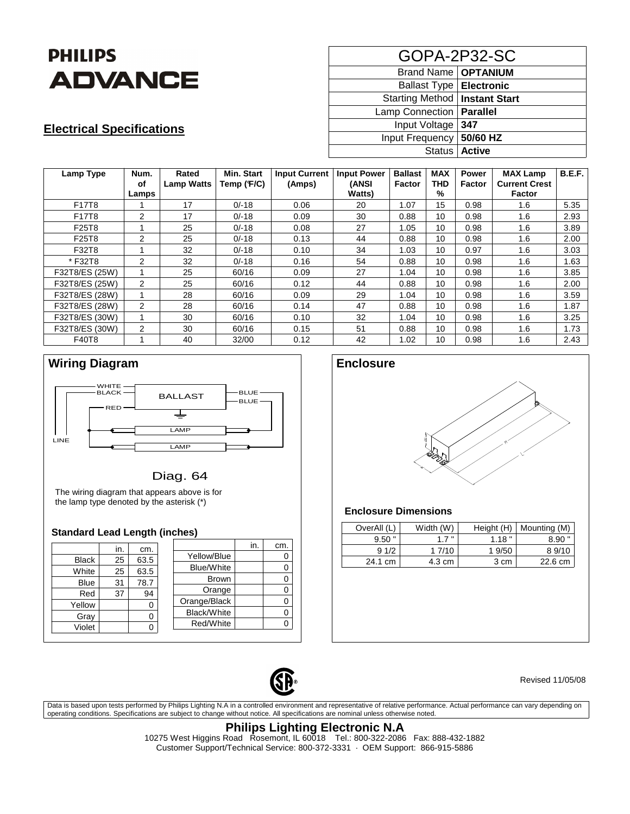

## **Electrical Specifications**

| GOPA-2P32-SC                    |                 |  |  |  |  |  |
|---------------------------------|-----------------|--|--|--|--|--|
| Brand Name   OPTANIUM           |                 |  |  |  |  |  |
| Ballast Type   Electronic       |                 |  |  |  |  |  |
| Starting Method   Instant Start |                 |  |  |  |  |  |
| Lamp Connection   Parallel      |                 |  |  |  |  |  |
| Input Voltage                   | 347             |  |  |  |  |  |
| Input Frequency   50/60 HZ      |                 |  |  |  |  |  |
|                                 | Status   Active |  |  |  |  |  |

| Lamp Type      | Num.<br>οf     | Rated<br><b>Lamp Watts</b> | <b>Min. Start</b><br>Temp (F/C) | <b>Input Current</b><br>(Amps) | <b>Input Power</b><br>(ANSI | <b>Ballast</b><br>Factor | <b>MAX</b><br><b>THD</b> | <b>Power</b><br><b>Factor</b> | <b>MAX Lamp</b><br><b>Current Crest</b> | <b>B.E.F.</b> |
|----------------|----------------|----------------------------|---------------------------------|--------------------------------|-----------------------------|--------------------------|--------------------------|-------------------------------|-----------------------------------------|---------------|
|                | Lamps          |                            |                                 |                                | <b>Watts</b> )              |                          | %                        |                               | <b>Factor</b>                           |               |
| F17T8          |                | 17                         | $0/-18$                         | 0.06                           | 20                          | 1.07                     | 15                       | 0.98                          | 1.6                                     | 5.35          |
| F17T8          | 2              | 17                         | $0/-18$                         | 0.09                           | 30                          | 0.88                     | 10                       | 0.98                          | 1.6                                     | 2.93          |
| F25T8          |                | 25                         | $0/-18$                         | 0.08                           | 27                          | 1.05                     | 10                       | 0.98                          | 1.6                                     | 3.89          |
| F25T8          | 2              | 25                         | $0/-18$                         | 0.13                           | 44                          | 0.88                     | 10                       | 0.98                          | 1.6                                     | 2.00          |
| F32T8          | 1              | 32                         | $0/-18$                         | 0.10                           | 34                          | 1.03                     | 10                       | 0.97                          | 1.6                                     | 3.03          |
| *F32T8         | 2              | 32                         | $0/-18$                         | 0.16                           | 54                          | 0.88                     | 10                       | 0.98                          | 1.6                                     | 1.63          |
| F32T8/ES (25W) |                | 25                         | 60/16                           | 0.09                           | 27                          | 1.04                     | 10                       | 0.98                          | 1.6                                     | 3.85          |
| F32T8/ES (25W) | $\overline{2}$ | 25                         | 60/16                           | 0.12                           | 44                          | 0.88                     | 10                       | 0.98                          | 1.6                                     | 2.00          |
| F32T8/ES (28W) |                | 28                         | 60/16                           | 0.09                           | 29                          | 1.04                     | 10 <sup>1</sup>          | 0.98                          | 1.6                                     | 3.59          |
| F32T8/ES (28W) | $\mathcal{P}$  | 28                         | 60/16                           | 0.14                           | 47                          | 0.88                     | 10                       | 0.98                          | 1.6                                     | 1.87          |
| F32T8/ES (30W) | 1              | 30                         | 60/16                           | 0.10                           | 32                          | 1.04                     | 10                       | 0.98                          | 1.6                                     | 3.25          |
| F32T8/ES (30W) | 2              | 30                         | 60/16                           | 0.15                           | 51                          | 0.88                     | 10                       | 0.98                          | 1.6                                     | 1.73          |
| F40T8          | 1              | 40                         | 32/00                           | 0.12                           | 42                          | 1.02                     | 10                       | 0.98                          | 1.6                                     | 2.43          |



### Diag. 64

The wiring diagram that appears above is for the lamp type denoted by the asterisk (\*)

#### **Standard Lead Length (inches)**

|              | in. | cm.  |                   | in. | cm. |
|--------------|-----|------|-------------------|-----|-----|
| <b>Black</b> | 25  | 63.5 | Yellow/Blue       |     |     |
| White        | 25  | 63.5 | <b>Blue/White</b> |     |     |
|              |     |      | <b>Brown</b>      |     |     |
| <b>Blue</b>  | 31  | 78.7 | Orange            |     |     |
| Red          | 37  | 94   | Orange/Black      |     |     |
| Yellow       |     | 0    | Black/White       |     |     |
| Gray         |     | 0    |                   |     |     |
| Violet       |     |      | Red/White         |     |     |



#### **Enclosure Dimensions**

| OverAll (L) | Width (W) | Height (H) | Mounting (M) |
|-------------|-----------|------------|--------------|
| $9.50$ "    | 17"       | 1.18"      | 8.90         |
| 91/2        | 17/10     | 1 9/50     | 8 9/10       |
| 24.1 cm     | 4.3 cm    | 3 cm       | 22.6 cm      |



Revised 11/05/08

Data is based upon tests performed by Philips Lighting N.A in a controlled environment and representative of relative performance. Actual performance can vary depending on operating conditions. Specifications are subject to change without notice. All specifications are nominal unless otherwise noted.

#### **Philips Lighting Electronic N.A**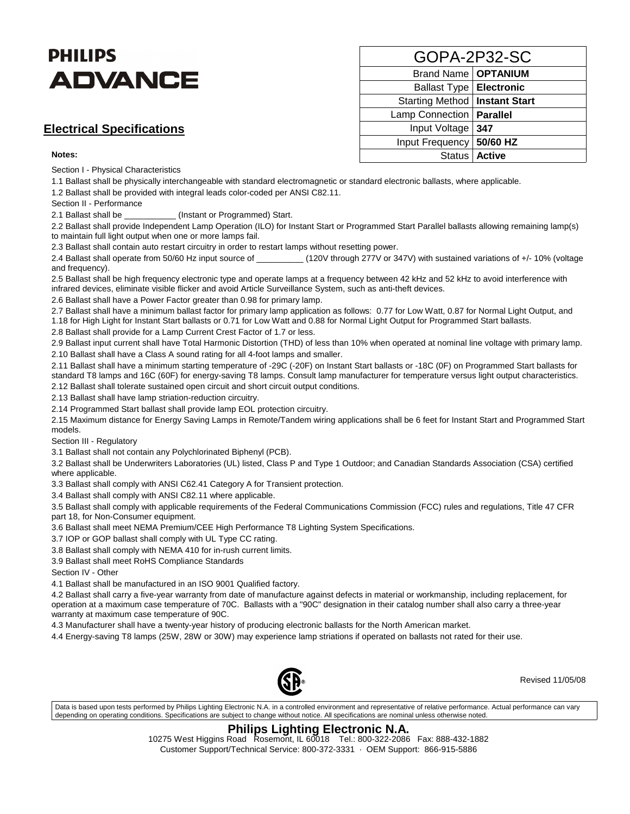# **PHILIPS ADVANCE**

## **Electrical Specifications**

#### **Notes:**

Section I - Physical Characteristics

1.1 Ballast shall be physically interchangeable with standard electromagnetic or standard electronic ballasts, where applicable.

1.2 Ballast shall be provided with integral leads color-coded per ANSI C82.11.

Section II - Performance

2.1 Ballast shall be \_\_\_\_\_\_\_\_\_\_\_ (Instant or Programmed) Start.

2.2 Ballast shall provide Independent Lamp Operation (ILO) for Instant Start or Programmed Start Parallel ballasts allowing remaining lamp(s) to maintain full light output when one or more lamps fail.

2.3 Ballast shall contain auto restart circuitry in order to restart lamps without resetting power.

2.4 Ballast shall operate from 50/60 Hz input source of \_\_\_\_\_\_\_\_\_\_\_(120V through 277V or 347V) with sustained variations of +/- 10% (voltage and frequency).

2.5 Ballast shall be high frequency electronic type and operate lamps at a frequency between 42 kHz and 52 kHz to avoid interference with infrared devices, eliminate visible flicker and avoid Article Surveillance System, such as anti-theft devices.

2.6 Ballast shall have a Power Factor greater than 0.98 for primary lamp.

2.7 Ballast shall have a minimum ballast factor for primary lamp application as follows: 0.77 for Low Watt, 0.87 for Normal Light Output, and 1.18 for High Light for Instant Start ballasts or 0.71 for Low Watt and 0.88 for Normal Light Output for Programmed Start ballasts.

2.8 Ballast shall provide for a Lamp Current Crest Factor of 1.7 or less.

2.9 Ballast input current shall have Total Harmonic Distortion (THD) of less than 10% when operated at nominal line voltage with primary lamp. 2.10 Ballast shall have a Class A sound rating for all 4-foot lamps and smaller.

2.11 Ballast shall have a minimum starting temperature of -29C (-20F) on Instant Start ballasts or -18C (0F) on Programmed Start ballasts for standard T8 lamps and 16C (60F) for energy-saving T8 lamps. Consult lamp manufacturer for temperature versus light output characteristics. 2.12 Ballast shall tolerate sustained open circuit and short circuit output conditions.

2.13 Ballast shall have lamp striation-reduction circuitry.

2.14 Programmed Start ballast shall provide lamp EOL protection circuitry.

2.15 Maximum distance for Energy Saving Lamps in Remote/Tandem wiring applications shall be 6 feet for Instant Start and Programmed Start models.

Section III - Regulatory

3.1 Ballast shall not contain any Polychlorinated Biphenyl (PCB).

3.2 Ballast shall be Underwriters Laboratories (UL) listed, Class P and Type 1 Outdoor; and Canadian Standards Association (CSA) certified where applicable.

3.3 Ballast shall comply with ANSI C62.41 Category A for Transient protection.

3.4 Ballast shall comply with ANSI C82.11 where applicable.

3.5 Ballast shall comply with applicable requirements of the Federal Communications Commission (FCC) rules and regulations, Title 47 CFR part 18, for Non-Consumer equipment.

3.6 Ballast shall meet NEMA Premium/CEE High Performance T8 Lighting System Specifications.

3.7 IOP or GOP ballast shall comply with UL Type CC rating.

3.8 Ballast shall comply with NEMA 410 for in-rush current limits.

3.9 Ballast shall meet RoHS Compliance Standards

Section IV - Other

4.1 Ballast shall be manufactured in an ISO 9001 Qualified factory.

4.2 Ballast shall carry a five-year warranty from date of manufacture against defects in material or workmanship, including replacement, for operation at a maximum case temperature of 70C. Ballasts with a "90C" designation in their catalog number shall also carry a three-year warranty at maximum case temperature of 90C.

4.3 Manufacturer shall have a twenty-year history of producing electronic ballasts for the North American market.

4.4 Energy-saving T8 lamps (25W, 28W or 30W) may experience lamp striations if operated on ballasts not rated for their use.



Revised 11/05/08

Data is based upon tests performed by Philips Lighting Electronic N.A. in a controlled environment and representative of relative performance. Actual performance can vary depending on operating conditions. Specifications are subject to change without notice. All specifications are nominal unless otherwise noted.

#### **Philips Lighting Electronic N.A.**

| GOPA-2P32-SC                    |                 |  |  |  |  |  |
|---------------------------------|-----------------|--|--|--|--|--|
| Brand Name   OPTANIUM           |                 |  |  |  |  |  |
| Ballast Type   Electronic       |                 |  |  |  |  |  |
| Starting Method   Instant Start |                 |  |  |  |  |  |
| <b>Lamp Connection</b>          | <b>Parallel</b> |  |  |  |  |  |
| Input Voltage                   | 347             |  |  |  |  |  |
| Input Frequency   50/60 HZ      |                 |  |  |  |  |  |
|                                 | Status   Active |  |  |  |  |  |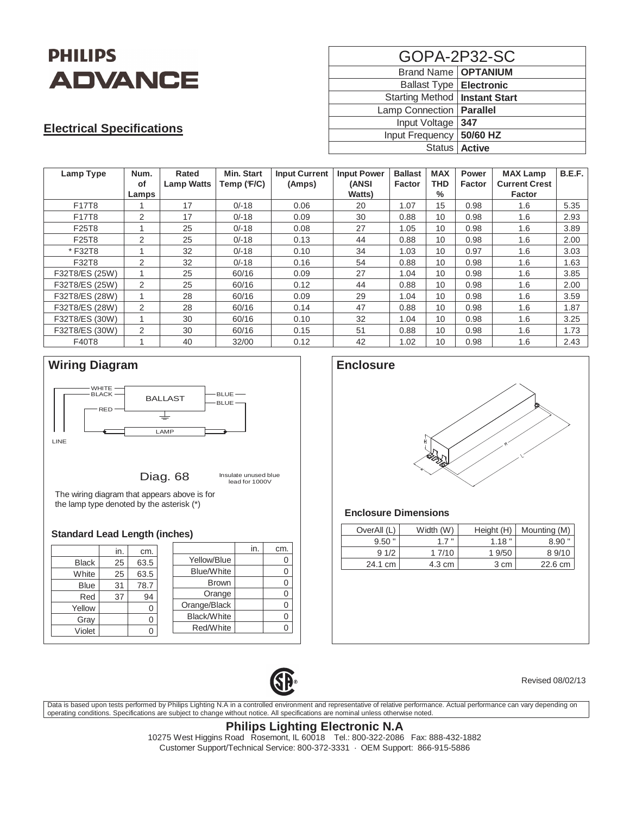

## **Electrical Specifications**

| GOPA-2P32-SC                    |                 |  |  |  |  |
|---------------------------------|-----------------|--|--|--|--|
| Brand Name   OPTANIUM           |                 |  |  |  |  |
| Ballast Type   Electronic       |                 |  |  |  |  |
| Starting Method   Instant Start |                 |  |  |  |  |
| Lamp Connection   Parallel      |                 |  |  |  |  |
| Input Voltage   347             |                 |  |  |  |  |
| Input Frequency   50/60 HZ      |                 |  |  |  |  |
|                                 | Status   Active |  |  |  |  |

| Lamp Type      | Num.<br>οf<br>Lamps     | Rated<br><b>Lamp Watts</b> | <b>Min. Start</b><br>Temp (F/C) | <b>Input Current</b><br>(Amps) | <b>Input Power</b><br>(ANSI<br>Watts) | <b>Ballast</b><br><b>Factor</b> | <b>MAX</b><br><b>THD</b><br>$\%$ | <b>Power</b><br><b>Factor</b> | <b>MAX Lamp</b><br><b>Current Crest</b><br><b>Factor</b> | B.E.F. |
|----------------|-------------------------|----------------------------|---------------------------------|--------------------------------|---------------------------------------|---------------------------------|----------------------------------|-------------------------------|----------------------------------------------------------|--------|
| F17T8          |                         | 17                         | $0/-18$                         | 0.06                           | 20                                    | 1.07                            | 15                               | 0.98                          | 1.6                                                      | 5.35   |
| F17T8          | 2                       | 17                         | $0/-18$                         | 0.09                           | 30                                    | 0.88                            | 10                               | 0.98                          | 1.6                                                      | 2.93   |
| F25T8          | 1                       | 25                         | $0/-18$                         | 0.08                           | 27                                    | 1.05                            | 10                               | 0.98                          | 1.6                                                      | 3.89   |
| F25T8          | 2                       | 25                         | $0/-18$                         | 0.13                           | 44                                    | 0.88                            | 10                               | 0.98                          | 1.6                                                      | 2.00   |
| *F32T8         | 1                       | 32                         | $0/-18$                         | 0.10                           | 34                                    | 1.03                            | 10                               | 0.97                          | 1.6                                                      | 3.03   |
| F32T8          | 2                       | 32                         | $0/-18$                         | 0.16                           | 54                                    | 0.88                            | 10                               | 0.98                          | 1.6                                                      | 1.63   |
| F32T8/ES (25W) |                         | 25                         | 60/16                           | 0.09                           | 27                                    | 1.04                            | 10                               | 0.98                          | 1.6                                                      | 3.85   |
| F32T8/ES (25W) | 2                       | 25                         | 60/16                           | 0.12                           | 44                                    | 0.88                            | 10                               | 0.98                          | 1.6                                                      | 2.00   |
| F32T8/ES (28W) |                         | 28                         | 60/16                           | 0.09                           | 29                                    | 1.04                            | 10                               | 0.98                          | 1.6                                                      | 3.59   |
| F32T8/ES (28W) | $\mathfrak{D}$          | 28                         | 60/16                           | 0.14                           | 47                                    | 0.88                            | 10                               | 0.98                          | 1.6                                                      | 1.87   |
| F32T8/ES (30W) |                         | 30                         | 60/16                           | 0.10                           | 32                                    | 1.04                            | 10                               | 0.98                          | 1.6                                                      | 3.25   |
| F32T8/ES (30W) | $\mathcal{P}$           | 30                         | 60/16                           | 0.15                           | 51                                    | 0.88                            | 10                               | 0.98                          | 1.6                                                      | 1.73   |
| F40T8          | $\overline{\mathbf{A}}$ | 40                         | 32/00                           | 0.12                           | 42                                    | 1.02                            | 10                               | 0.98                          | 1.6                                                      | 2.43   |



|              | in. | cm.  |                    | in. | cm. |
|--------------|-----|------|--------------------|-----|-----|
| <b>Black</b> | 25  | 63.5 | Yellow/Blue        |     | 0   |
| White        | 25  | 63.5 | <b>Blue/White</b>  |     | 0   |
| <b>Blue</b>  | 31  | 78.7 | <b>Brown</b>       |     | 0   |
| Red          | 37  | 94   | Orange             |     | 0   |
| Yellow       |     | 0    | Orange/Black       |     | 0   |
| Gray         |     | 0    | <b>Black/White</b> |     | 0   |
| Violet       |     | ∩    | Red/White          |     |     |
|              |     |      |                    |     |     |



| OverAll (L) | Width (W) | Height (H) | Mounting (M) |
|-------------|-----------|------------|--------------|
| $9.50$ "    | 1.7"      | 1.18"      | $8.90$ "     |
| 91/2        | 1 7/10    | 1 9/50     | 8 9/10       |
| 24.1 cm     | 4.3 cm    | 3 cm       | 22.6 cm      |



Revised 08/02/13

Data is based upon tests performed by Philips Lighting N.A in a controlled environment and representative of relative performance. Actual performance can vary depending on<br>operating conditions. Specifications are subject t

### **Philips Lighting Electronic N.A**